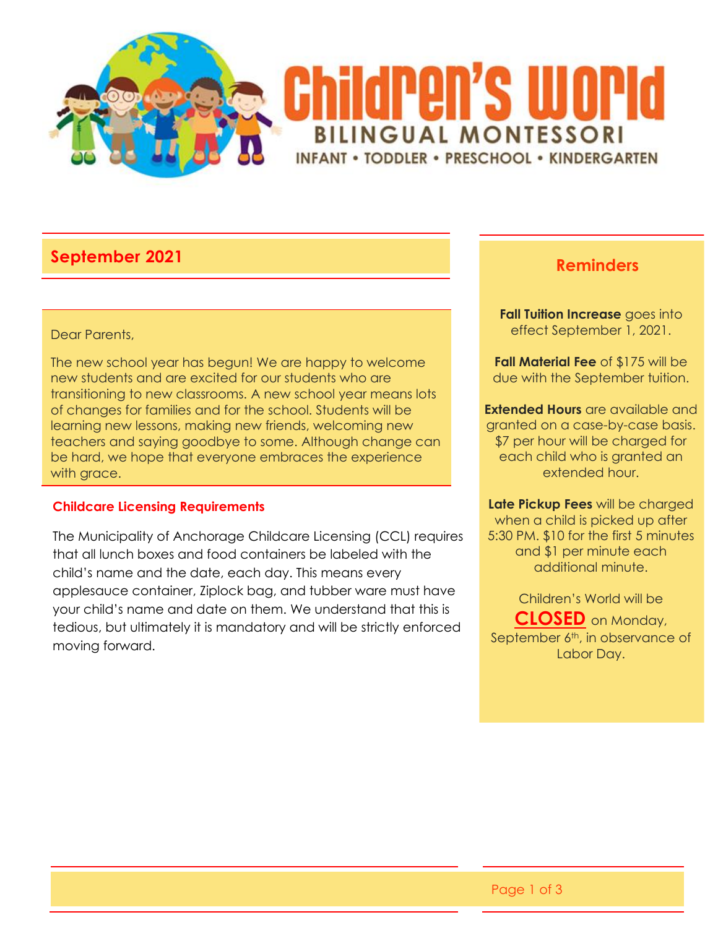

# **September 2021 Reminders**

#### Dear Parents,

The new school year has begun! We are happy to welcome new students and are excited for our students who are transitioning to new classrooms. A new school year means lots of changes for families and for the school. Students will be learning new lessons, making new friends, welcoming new teachers and saying goodbye to some. Although change can be hard, we hope that everyone embraces the experience with grace.

### **Childcare Licensing Requirements**

The Municipality of Anchorage Childcare Licensing (CCL) requires that all lunch boxes and food containers be labeled with the child's name and the date, each day. This means every applesauce container, Ziplock bag, and tubber ware must have your child's name and date on them. We understand that this is tedious, but ultimately it is mandatory and will be strictly enforced moving forward.

**Fall Tuition Increase** goes into effect September 1, 2021.

**Fall Material Fee** of \$175 will be due with the September tuition.

**Extended Hours** are available and granted on a case-by-case basis. \$7 per hour will be charged for each child who is granted an extended hour.

**Late Pickup Fees** will be charged when a child is picked up after 5:30 PM. \$10 for the first 5 minutes and \$1 per minute each additional minute.

Children's World will be **CLOSED** on Monday, September  $\overline{6^{th}}$ , in observance of Labor Day.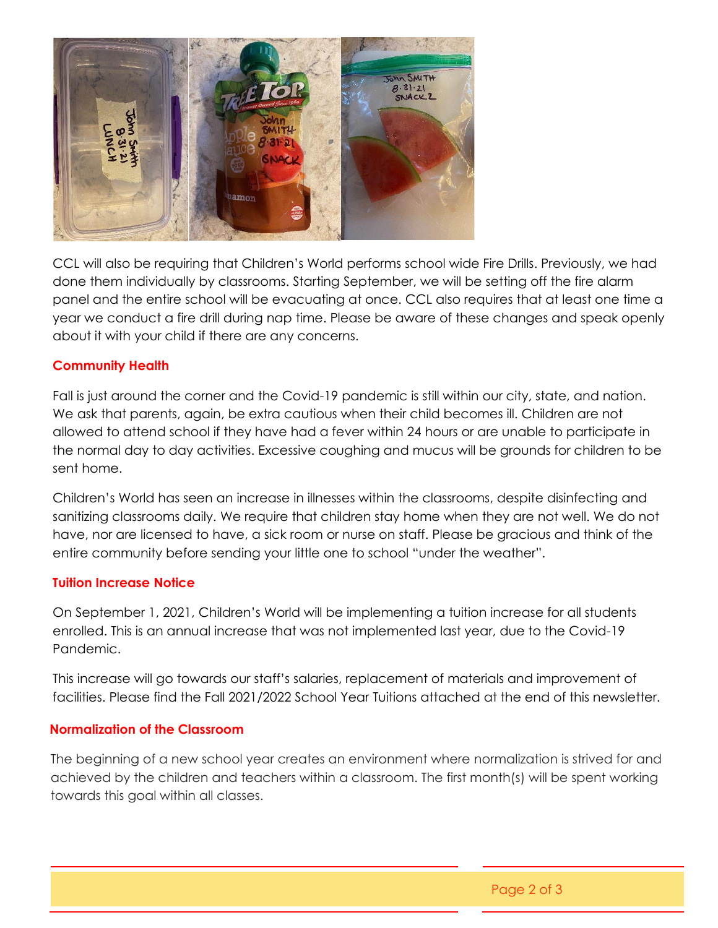

CCL will also be requiring that Children's World performs school wide Fire Drills. Previously, we had done them individually by classrooms. Starting September, we will be setting off the fire alarm panel and the entire school will be evacuating at once. CCL also requires that at least one time a year we conduct a fire drill during nap time. Please be aware of these changes and speak openly about it with your child if there are any concerns.

## **Community Health**

Fall is just around the corner and the Covid-19 pandemic is still within our city, state, and nation. We ask that parents, again, be extra cautious when their child becomes ill. Children are not allowed to attend school if they have had a fever within 24 hours or are unable to participate in the normal day to day activities. Excessive coughing and mucus will be grounds for children to be sent home.

Children's World has seen an increase in illnesses within the classrooms, despite disinfecting and sanitizing classrooms daily. We require that children stay home when they are not well. We do not have, nor are licensed to have, a sick room or nurse on staff. Please be gracious and think of the entire community before sending your little one to school "under the weather".

### **Tuition Increase Notice**

On September 1, 2021, Children's World will be implementing a tuition increase for all students enrolled. This is an annual increase that was not implemented last year, due to the Covid-19 Pandemic.

This increase will go towards our staff's salaries, replacement of materials and improvement of facilities. Please find the Fall 2021/2022 School Year Tuitions attached at the end of this newsletter.

### **Normalization of the Classroom**

The beginning of a new school year creates an environment where normalization is strived for and achieved by the children and teachers within a classroom. The first month(s) will be spent working towards this goal within all classes.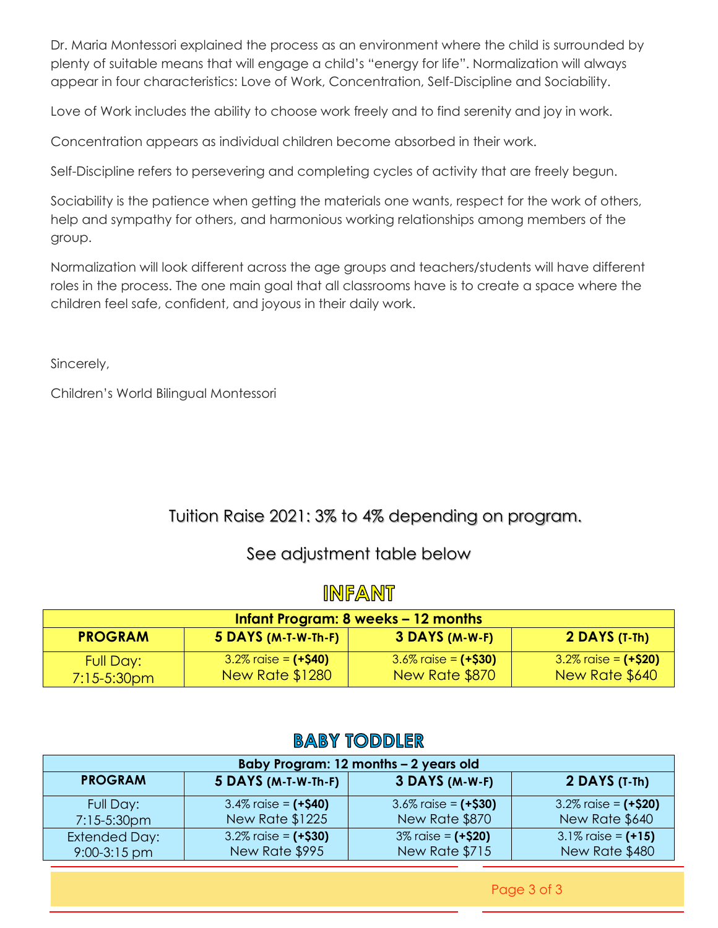Dr. Maria Montessori explained the process as an environment where the child is surrounded by plenty of suitable means that will engage a child's "energy for life". Normalization will always appear in four characteristics: Love of Work, Concentration, Self-Discipline and Sociability.

Love of Work includes the ability to choose work freely and to find serenity and joy in work.

Concentration appears as individual children become absorbed in their work.

Self-Discipline refers to persevering and completing cycles of activity that are freely begun.

Sociability is the patience when getting the materials one wants, respect for the work of others, help and sympathy for others, and harmonious working relationships among members of the group.

Normalization will look different across the age groups and teachers/students will have different roles in the process. The one main goal that all classrooms have is to create a space where the children feel safe, confident, and joyous in their daily work.

Sincerely,

Children's World Bilingual Montessori

## Tuition Raise 2021: 3% to 4% depending on program.

## See adjustment table below

## **INFANT**

| Infant Program: 8 weeks – 12 months |                                                    |                                            |                                            |
|-------------------------------------|----------------------------------------------------|--------------------------------------------|--------------------------------------------|
| <b>PROGRAM</b>                      | 5 DAYS (M-T-W-Th-F)                                | 3 DAYS (M-W-F)                             | $2$ DAYS (T-Th)                            |
| Full Day:<br>$7:15 - 5:30$ pm       | $3.2\%$ raise = $(+$40)$<br><b>New Rate \$1280</b> | $3.6\%$ raise = $(+$30)$<br>New Rate \$870 | $3.2\%$ raise = $(+$20)$<br>New Rate \$640 |

## **BABY TODDLER**

| Baby Program: 12 months - 2 years old |                       |                          |                       |
|---------------------------------------|-----------------------|--------------------------|-----------------------|
| <b>PROGRAM</b>                        | 5 DAYS (M-T-W-Th-F)   | 3 DAYS (M-W-F)           | 2 DAYS (T-Th)         |
| Full Day:                             | 3.4% raise = $(+$40)$ | $3.6\%$ raise = $(+$30)$ | 3.2% raise = $(+$20)$ |
| 7:15-5:30pm                           | New Rate \$1225       | New Rate \$870           | New Rate \$640        |
| <b>Extended Day:</b>                  | 3.2% raise = $(+$30)$ | $3\%$ raise = $(+$20)$   | 3.1% raise = $(+15)$  |
| $9:00-3:15$ pm                        | New Rate \$995        | New Rate \$715           | New Rate \$480        |

Page 3 of 3